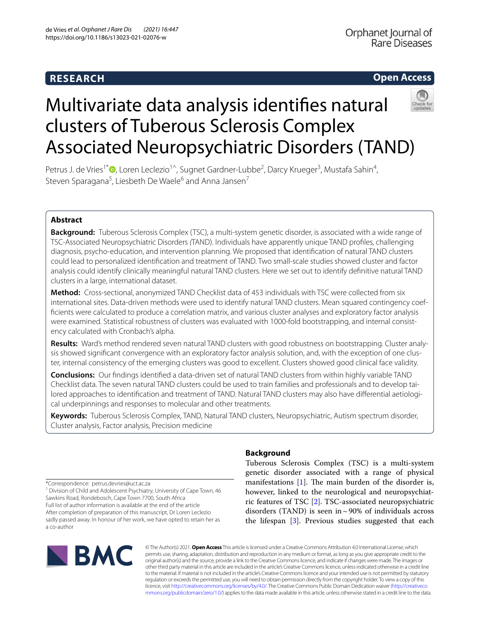#### **RESEARCH**

#### **Open Access**



## Multivariate data analysis identifes natural clusters of Tuberous Sclerosis Complex Associated Neuropsychiatric Disorders (TAND)

Petrus J. de Vries<sup>1\*</sup>®[,](http://orcid.org/0000-0002-8915-1571) Loren Leclezio<sup>1^</sup>, Sugnet Gardner-Lubbe<sup>2</sup>, Darcy Krueger<sup>3</sup>, Mustafa Sahin<sup>4</sup>, Steven Sparagana<sup>5</sup>, Liesbeth De Waele<sup>6</sup> and Anna Jansen<sup>7</sup>

#### **Abstract**

**Background:** Tuberous Sclerosis Complex (TSC), a multi-system genetic disorder, is associated with a wide range of TSC-Associated Neuropsychiatric Disorders *(*TAND). Individuals have apparently unique TAND profles, challenging diagnosis, psycho-education, and intervention planning. We proposed that identifcation of natural TAND clusters could lead to personalized identifcation and treatment of TAND. Two small-scale studies showed cluster and factor analysis could identify clinically meaningful natural TAND clusters. Here we set out to identify defnitive natural TAND clusters in a large, international dataset.

**Method:** Cross-sectional, anonymized TAND Checklist data of 453 individuals with TSC were collected from six international sites. Data-driven methods were used to identify natural TAND clusters. Mean squared contingency coeffcients were calculated to produce a correlation matrix, and various cluster analyses and exploratory factor analysis were examined. Statistical robustness of clusters was evaluated with 1000-fold bootstrapping, and internal consistency calculated with Cronbach's alpha.

**Results:** Ward's method rendered seven natural TAND clusters with good robustness on bootstrapping. Cluster analy‑ sis showed significant convergence with an exploratory factor analysis solution, and, with the exception of one cluster, internal consistency of the emerging clusters was good to excellent. Clusters showed good clinical face validity.

**Conclusions:** Our fndings identifed a data-driven set of natural TAND clusters from within highly variable TAND Checklist data. The seven natural TAND clusters could be used to train families and professionals and to develop tai‑ lored approaches to identification and treatment of TAND. Natural TAND clusters may also have differential aetiological underpinnings and responses to molecular and other treatments.

**Keywords:** Tuberous Sclerosis Complex, TAND, Natural TAND clusters, Neuropsychiatric, Autism spectrum disorder, Cluster analysis, Factor analysis, Precision medicine

\*Correspondence: petrus.devries@uct.ac.za

<sup>1</sup> Division of Child and Adolescent Psychiatry, University of Cape Town, 46 Sawkins Road, Rondebosch, Cape Town 7700, South Africa Full list of author information is available at the end of the article After completion of preparation of this manuscript, Dr Loren Leclezio sadly passed away. In honour of her work, we have opted to retain her as a co-author

# **BMC**

#### **Background**

Tuberous Sclerosis Complex (TSC) is a multi-system genetic disorder associated with a range of physical manifestations  $[1]$  $[1]$ . The main burden of the disorder is, however, linked to the neurological and neuropsychiatric features of TSC [\[2](#page-8-1)]. TSC-associated neuropsychiatric disorders (TAND) is seen in  $\sim$  90% of individuals across the lifespan [\[3](#page-8-2)]. Previous studies suggested that each

© The Author(s) 2021. **Open Access** This article is licensed under a Creative Commons Attribution 4.0 International License, which permits use, sharing, adaptation, distribution and reproduction in any medium or format, as long as you give appropriate credit to the original author(s) and the source, provide a link to the Creative Commons licence, and indicate if changes were made. The images or other third party material in this article are included in the article's Creative Commons licence, unless indicated otherwise in a credit line to the material. If material is not included in the article's Creative Commons licence and your intended use is not permitted by statutory regulation or exceeds the permitted use, you will need to obtain permission directly from the copyright holder. To view a copy of this licence, visit [http://creativecommons.org/licenses/by/4.0/.](http://creativecommons.org/licenses/by/4.0/) The Creative Commons Public Domain Dedication waiver ([http://creativeco](http://creativecommons.org/publicdomain/zero/1.0/) [mmons.org/publicdomain/zero/1.0/](http://creativecommons.org/publicdomain/zero/1.0/)) applies to the data made available in this article, unless otherwise stated in a credit line to the data.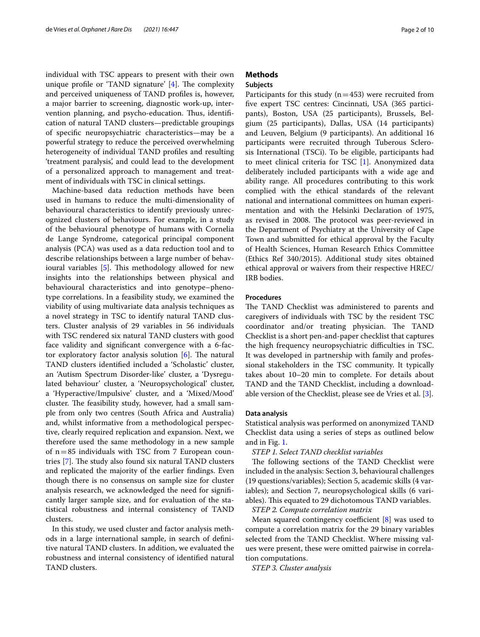individual with TSC appears to present with their own unique profile or 'TAND signature'  $[4]$  $[4]$ . The complexity and perceived uniqueness of TAND profles is, however, a major barrier to screening, diagnostic work-up, intervention planning, and psycho-education. Thus, identification of natural TAND clusters—predictable groupings of specifc neuropsychiatric characteristics—may be a powerful strategy to reduce the perceived overwhelming heterogeneity of individual TAND profles and resulting 'treatment paralysis', and could lead to the development of a personalized approach to management and treatment of individuals with TSC in clinical settings.

Machine-based data reduction methods have been used in humans to reduce the multi-dimensionality of behavioural characteristics to identify previously unrecognized clusters of behaviours. For example, in a study of the behavioural phenotype of humans with Cornelia de Lange Syndrome, categorical principal component analysis (PCA) was used as a data reduction tool and to describe relationships between a large number of behav-ioural variables [[5\]](#page-8-4). This methodology allowed for new insights into the relationships between physical and behavioural characteristics and into genotype–phenotype correlations. In a feasibility study, we examined the viability of using multivariate data analysis techniques as a novel strategy in TSC to identify natural TAND clusters. Cluster analysis of 29 variables in 56 individuals with TSC rendered six natural TAND clusters with good face validity and signifcant convergence with a 6-factor exploratory factor analysis solution  $[6]$  $[6]$ . The natural TAND clusters identifed included a 'Scholastic' cluster, an 'Autism Spectrum Disorder-like' cluster, a 'Dysregulated behaviour' cluster, a 'Neuropsychological' cluster, a 'Hyperactive/Impulsive' cluster, and a 'Mixed/Mood' cluster. The feasibility study, however, had a small sample from only two centres (South Africa and Australia) and, whilst informative from a methodological perspective, clearly required replication and expansion. Next, we therefore used the same methodology in a new sample of  $n=85$  individuals with TSC from 7 European coun-tries [[7\]](#page-8-6). The study also found six natural TAND clusters and replicated the majority of the earlier fndings. Even though there is no consensus on sample size for cluster analysis research, we acknowledged the need for signifcantly larger sample size, and for evaluation of the statistical robustness and internal consistency of TAND clusters.

In this study, we used cluster and factor analysis methods in a large international sample, in search of defnitive natural TAND clusters. In addition, we evaluated the robustness and internal consistency of identifed natural TAND clusters.

#### **Methods**

#### **Subjects**

Participants for this study  $(n=453)$  were recruited from fve expert TSC centres: Cincinnati, USA (365 participants), Boston, USA (25 participants), Brussels, Belgium (25 participants), Dallas, USA (14 participants) and Leuven, Belgium (9 participants). An additional 16 participants were recruited through Tuberous Sclerosis International (TSCi). To be eligible, participants had to meet clinical criteria for TSC [[1\]](#page-8-0). Anonymized data deliberately included participants with a wide age and ability range. All procedures contributing to this work complied with the ethical standards of the relevant national and international committees on human experimentation and with the Helsinki Declaration of 1975, as revised in 2008. The protocol was peer-reviewed in the Department of Psychiatry at the University of Cape Town and submitted for ethical approval by the Faculty of Health Sciences, Human Research Ethics Committee (Ethics Ref 340/2015). Additional study sites obtained ethical approval or waivers from their respective HREC/ IRB bodies.

#### **Procedures**

The TAND Checklist was administered to parents and caregivers of individuals with TSC by the resident TSC coordinator and/or treating physician. The TAND Checklist is a short pen-and-paper checklist that captures the high frequency neuropsychiatric difficulties in TSC. It was developed in partnership with family and professional stakeholders in the TSC community. It typically takes about 10–20 min to complete. For details about TAND and the TAND Checklist, including a downloadable version of the Checklist, please see de Vries et al. [[3](#page-8-2)].

#### **Data analysis**

Statistical analysis was performed on anonymized TAND Checklist data using a series of steps as outlined below and in Fig. [1.](#page-2-0)

#### *STEP 1. Select TAND checklist variables*

The following sections of the TAND Checklist were included in the analysis: Section 3, behavioural challenges (19 questions/variables); Section 5, academic skills (4 variables); and Section 7, neuropsychological skills (6 variables). This equated to 29 dichotomous TAND variables.

*STEP 2. Compute correlation matrix*

Mean squared contingency coefficient  $[8]$  $[8]$  was used to compute a correlation matrix for the 29 binary variables selected from the TAND Checklist. Where missing values were present, these were omitted pairwise in correlation computations.

*STEP 3. Cluster analysis*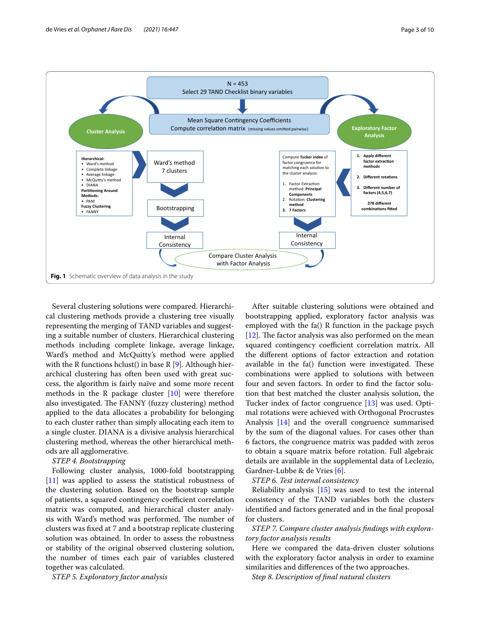

<span id="page-2-0"></span>Several clustering solutions were compared. Hierarchical clustering methods provide a clustering tree visually representing the merging of TAND variables and suggesting a suitable number of clusters. Hierarchical clustering methods including complete linkage, average linkage, Ward's method and McQuitty's method were applied with the R functions hclust() in base R  $[9]$  $[9]$ . Although hierarchical clustering has often been used with great success, the algorithm is fairly naïve and some more recent methods in the R package cluster  $[10]$  $[10]$  were therefore also investigated. The FANNY (fuzzy clustering) method applied to the data allocates a probability for belonging to each cluster rather than simply allocating each item to a single cluster. DIANA is a divisive analysis hierarchical clustering method, whereas the other hierarchical methods are all agglomerative.

#### *STEP 4. Bootstrapping*

Following cluster analysis, 1000-fold bootstrapping [[11\]](#page-9-0) was applied to assess the statistical robustness of the clustering solution. Based on the bootstrap sample of patients, a squared contingency coefficient correlation matrix was computed, and hierarchical cluster analysis with Ward's method was performed. The number of clusters was fxed at 7 and a bootstrap replicate clustering solution was obtained. In order to assess the robustness or stability of the original observed clustering solution, the number of times each pair of variables clustered together was calculated.

*STEP 5. Exploratory factor analysis*

After suitable clustering solutions were obtained and bootstrapping applied, exploratory factor analysis was employed with the fa() R function in the package psych  $[12]$  $[12]$ . The factor analysis was also performed on the mean squared contingency coefficient correlation matrix. All the diferent options of factor extraction and rotation available in the  $fa()$  function were investigated. These combinations were applied to solutions with between four and seven factors. In order to fnd the factor solution that best matched the cluster analysis solution, the Tucker index of factor congruence [[13\]](#page-9-2) was used. Optimal rotations were achieved with Orthogonal Procrustes Analysis [\[14\]](#page-9-3) and the overall congruence summarised by the sum of the diagonal values. For cases other than 6 factors, the congruence matrix was padded with zeros to obtain a square matrix before rotation. Full algebraic details are available in the supplemental data of Leclezio, Gardner-Lubbe & de Vries [[6\]](#page-8-5).

*STEP 6. Test internal consistency*

Reliability analysis [\[15\]](#page-9-4) was used to test the internal consistency of the TAND variables both the clusters identified and factors generated and in the final proposal for clusters.

*STEP 7. Compare cluster analysis fndings with exploratory factor analysis results*

Here we compared the data-driven cluster solutions with the exploratory factor analysis in order to examine similarities and diferences of the two approaches.

*Step 8. Description of fnal natural clusters*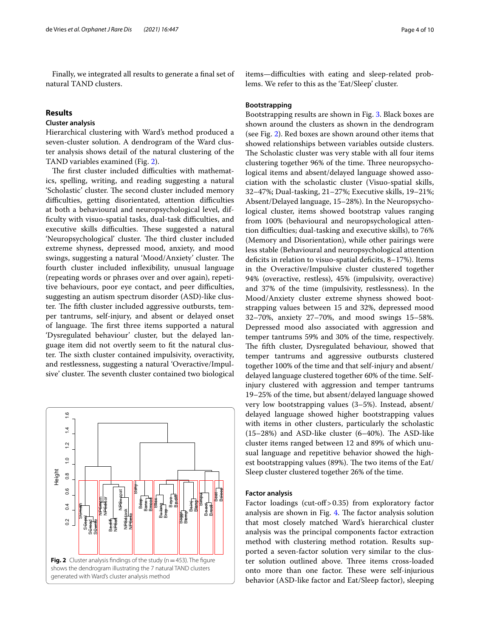Finally, we integrated all results to generate a fnal set of natural TAND clusters.

#### **Results**

#### **Cluster analysis**

Hierarchical clustering with Ward's method produced a seven-cluster solution. A dendrogram of the Ward cluster analysis shows detail of the natural clustering of the TAND variables examined (Fig. [2](#page-3-0)).

The first cluster included difficulties with mathematics, spelling, writing, and reading suggesting a natural 'Scholastic' cluster. The second cluster included memory difficulties, getting disorientated, attention difficulties at both a behavioural and neuropsychological level, difficulty with visuo-spatial tasks, dual-task difficulties, and executive skills difficulties. These suggested a natural 'Neuropsychological' cluster. The third cluster included extreme shyness, depressed mood, anxiety, and mood swings, suggesting a natural 'Mood/Anxiety' cluster. The fourth cluster included infexibility, unusual language (repeating words or phrases over and over again), repetitive behaviours, poor eye contact, and peer difficulties, suggesting an autism spectrum disorder (ASD)-like cluster. The fifth cluster included aggressive outbursts, temper tantrums, self-injury, and absent or delayed onset of language. The first three items supported a natural 'Dysregulated behaviour' cluster, but the delayed language item did not overtly seem to ft the natural cluster. The sixth cluster contained impulsivity, overactivity, and restlessness, suggesting a natural 'Overactive/Impulsive' cluster. The seventh cluster contained two biological

<span id="page-3-0"></span>

items-difficulties with eating and sleep-related problems. We refer to this as the 'Eat/Sleep' cluster.

#### **Bootstrapping**

Bootstrapping results are shown in Fig. [3](#page-4-0). Black boxes are shown around the clusters as shown in the dendrogram (see Fig. [2](#page-3-0)). Red boxes are shown around other items that showed relationships between variables outside clusters. The Scholastic cluster was very stable with all four items clustering together 96% of the time. Three neuropsychological items and absent/delayed language showed association with the scholastic cluster (Visuo-spatial skills, 32–47%; Dual-tasking, 21–27%; Executive skills, 19–21%; Absent/Delayed language, 15–28%). In the Neuropsychological cluster, items showed bootstrap values ranging from 100% (behavioural and neuropsychological attention difculties; dual-tasking and executive skills), to 76% (Memory and Disorientation), while other pairings were less stable (Behavioural and neuropsychological attention deficits in relation to visuo-spatial deficits, 8-17%). Items in the Overactive/Impulsive cluster clustered together 94% (overactive, restless), 45% (impulsivity, overactive) and 37% of the time (impulsivity, restlessness). In the Mood/Anxiety cluster extreme shyness showed bootstrapping values between 15 and 32%, depressed mood 32–70%, anxiety 27–70%, and mood swings 15–58%. Depressed mood also associated with aggression and temper tantrums 59% and 30% of the time, respectively. The fifth cluster, Dysregulated behaviour, showed that temper tantrums and aggressive outbursts clustered together 100% of the time and that self-injury and absent/ delayed language clustered together 60% of the time. Selfinjury clustered with aggression and temper tantrums 19–25% of the time, but absent/delayed language showed very low bootstrapping values (3–5%). Instead, absent/ delayed language showed higher bootstrapping values with items in other clusters, particularly the scholastic  $(15–28%)$  and ASD-like cluster  $(6–40%)$ . The ASD-like cluster items ranged between 12 and 89% of which unusual language and repetitive behavior showed the highest bootstrapping values (89%). The two items of the Eat/ Sleep cluster clustered together 26% of the time.

#### **Factor analysis**

Factor loadings (cut-off  $> 0.35$ ) from exploratory factor analysis are shown in Fig.  $4$ . The factor analysis solution that most closely matched Ward's hierarchical cluster analysis was the principal components factor extraction method with clustering method rotation. Results supported a seven-factor solution very similar to the cluster solution outlined above. Three items cross-loaded onto more than one factor. These were self-injurious behavior (ASD-like factor and Eat/Sleep factor), sleeping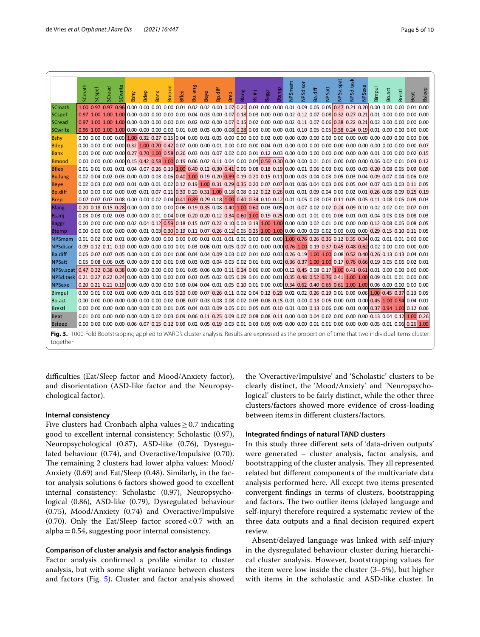|                                                                                                                                                            | SCmath | SCspel | SCread         | SCwrite | Bshy | Bdep | <b>Banx</b> | Bmood | Bflex                                                                                                                    | Bu.lang | <b>Beye</b> | Bp.diff | Brep | Blang | Bs.inj | Baggr | Btemp | NPSmem | NPSdisor | Ba.diff | <b>NPSatt</b> | NPSv.spat | NPSd.task | NPSexe | Bimpul | Bo.act | <b>Brestl</b>                                                                                                                                         | Beat | <b>Bsleep</b> |
|------------------------------------------------------------------------------------------------------------------------------------------------------------|--------|--------|----------------|---------|------|------|-------------|-------|--------------------------------------------------------------------------------------------------------------------------|---------|-------------|---------|------|-------|--------|-------|-------|--------|----------|---------|---------------|-----------|-----------|--------|--------|--------|-------------------------------------------------------------------------------------------------------------------------------------------------------|------|---------------|
| SCmath                                                                                                                                                     | 1.00   |        | 0.97 0.97 0.96 |         |      |      |             |       | $0.00\ 0.00\ 0.00\ 0.00\ 0.01\ 0.02\ 0.02\ 0.00\ 0.07\ 0.20\ 0.03\ 0.00\ 0.00\ 0.01\ 0.09\ 0.05\ 0.05\ 0.47\ 0.21\ 0.20$ |         |             |         |      |       |        |       |       |        |          |         |               |           |           |        |        |        | 0.00 0.00 0.00 0.01 0.00                                                                                                                              |      |               |
| <b>SCspel</b>                                                                                                                                              |        |        |                |         |      |      |             |       |                                                                                                                          |         |             |         |      |       |        |       |       |        |          |         |               |           |           |        |        |        |                                                                                                                                                       |      |               |
| <b>SCread</b>                                                                                                                                              |        |        |                |         |      |      |             |       |                                                                                                                          |         |             |         |      |       |        |       |       |        |          |         |               |           |           |        |        |        |                                                                                                                                                       |      |               |
| <b>SCwrite</b>                                                                                                                                             |        |        |                |         |      |      |             |       |                                                                                                                          |         |             |         |      |       |        |       |       |        |          |         |               |           |           |        |        |        |                                                                                                                                                       |      |               |
| <b>Bshy</b>                                                                                                                                                |        |        |                |         |      |      |             |       |                                                                                                                          |         |             |         |      |       |        |       |       |        |          |         |               |           |           |        |        |        |                                                                                                                                                       |      |               |
| <b>Bdep</b>                                                                                                                                                |        |        |                |         |      |      |             |       |                                                                                                                          |         |             |         |      |       |        |       |       |        |          |         |               |           |           |        |        |        |                                                                                                                                                       |      |               |
| <b>Banx</b>                                                                                                                                                |        |        |                |         |      |      |             |       |                                                                                                                          |         |             |         |      |       |        |       |       |        |          |         |               |           |           |        |        |        |                                                                                                                                                       |      |               |
| <b>Bmood</b>                                                                                                                                               |        |        |                |         |      |      |             |       |                                                                                                                          |         |             |         |      |       |        |       |       |        |          |         |               |           |           |        |        |        |                                                                                                                                                       |      |               |
| <b>Bflex</b>                                                                                                                                               |        |        |                |         |      |      |             |       |                                                                                                                          |         |             |         |      |       |        |       |       |        |          |         |               |           |           |        |        |        | 0.01 0.01 0.01 0.01 0.04 0.07 0.26 0.19 1.00 0.40 0.12 0.30 0.41 0.06 0.08 0.18 0.19 0.00 0.01 0.06 0.03 0.01 0.03 0.03 0.20 0.08 0.05 0.09 0.09      |      |               |
| <b>Bu.lang</b>                                                                                                                                             |        |        |                |         |      |      |             |       |                                                                                                                          |         |             |         |      |       |        |       |       |        |          |         |               |           |           |        |        |        | 0.02 0.04 0.02 0.03 0.00 0.00 0.03 0.06 0.40 1.00 0.19 0.20 0.89 0.19 0.20 0.15 0.11 0.00 0.03 0.04 0.03 0.05 0.03 0.04 0.09 0.07 0.04 0.06 0.02      |      |               |
| <b>Beye</b>                                                                                                                                                |        |        |                |         |      |      |             |       |                                                                                                                          |         |             |         |      |       |        |       |       |        |          |         |               |           |           |        |        |        | 0.02 0.03 0.02 0.03 0.01 0.00 0.01 0.02 0.12 0.19 1.00 0.31 0.29 0.35 0.20 0.07 0.07 0.00 0.06 0.04 0.03 0.06 0.05 0.04 0.07 0.03 0.03 0.03 0.11 0.05 |      |               |
| Bp.diff                                                                                                                                                    |        |        |                |         |      |      |             |       |                                                                                                                          |         |             |         |      |       |        |       |       |        |          |         |               |           |           |        |        |        | 0.00 0.00 0.00 0.00 0.03 0.01 0.07 0.11 0.30 0.20 0.31 1.00 0.18 0.08 0.12 0.22 0.26 0.01 0.01 0.09 0.04 0.00 0.02 0.01 0.26 0.08 0.09 0.25 0.19      |      |               |
| <b>Brep</b>                                                                                                                                                |        |        |                |         |      |      |             |       |                                                                                                                          |         |             |         |      |       |        |       |       |        |          |         |               |           |           |        |        |        | 0.07 0.07 0.07 0.08 0.00 0.00 0.02 0.04 0.41 0.89 0.29 0.18 1.00 0.40 0.34 0.10 0.12 0.01 0.05 0.03 0.03 0.11 0.05 0.05 0.11 0.08 0.05 0.09 0.03      |      |               |
| <b>Blang</b>                                                                                                                                               |        |        |                |         |      |      |             |       |                                                                                                                          |         |             |         |      |       |        |       |       |        |          |         |               |           |           |        |        |        | 0.20 0.18 0.15 0.28 0.00 0.00 0.00 0.00 0.06 0.19 0.35 0.08 0.40 1.00 0.60 0.03 0.05 0.01 0.07 0.02 0.02 0.24 0.09 0.10 0.02 0.02 0.02 0.01 0.07 0.01 |      |               |
| Bs.inj                                                                                                                                                     |        |        |                |         |      |      |             |       |                                                                                                                          |         |             |         |      |       |        |       |       |        |          |         |               |           |           |        |        |        | 0.03 0.02 0.03 0.00 0.00 0.01 0.04 0.08 0.20 0.20 0.12 0.34 0.60 1.00 0.19 0.25 0.00 0.01 0.01 0.01 0.06 0.01 0.00 0.04 0.03 0.05 0.08 0.03           |      |               |
| <b>Baggr</b>                                                                                                                                               |        |        |                |         |      |      |             |       |                                                                                                                          |         |             |         |      |       |        |       |       |        |          |         |               |           |           |        |        |        |                                                                                                                                                       |      |               |
| <b>Btemp</b>                                                                                                                                               |        |        |                |         |      |      |             |       |                                                                                                                          |         |             |         |      |       |        |       |       |        |          |         |               |           |           |        |        |        | 0.00 0.00 0.00 0.00 0.00 0.01 0.03 0.30 0.19 0.11 0.07 0.26 0.12 0.05 0.25 1.00 1.00 0.00 0.00 0.03 0.02 0.00 0.01 0.00 0.29 0.15 0.10 0.11 0.05      |      |               |
| <b>NPSmem</b>                                                                                                                                              |        |        |                |         |      |      |             |       |                                                                                                                          |         |             |         |      |       |        |       |       |        |          |         |               |           |           |        |        |        |                                                                                                                                                       |      |               |
| <b>NPSdisor</b>                                                                                                                                            |        |        |                |         |      |      |             |       |                                                                                                                          |         |             |         |      |       |        |       |       |        |          |         |               |           |           |        |        |        | 0.09 0.12 0.11 0.10 0.00 0.00 0.00 0.00 0.01 0.03 0.06 0.01 0.05 0.07 0.01 0.00 0.00 0.76 1.00 0.19 0.37 0.45 0.48 0.62 0.02 0.00 0.00 0.00 0.00 0.00 |      |               |
| Ba.diff                                                                                                                                                    |        |        |                |         |      |      |             |       |                                                                                                                          |         |             |         |      |       |        |       |       |        |          |         |               |           |           |        |        |        | 0.05 0.07 0.07 0.05 0.00 0.00 0.00 0.01 0.06 0.04 0.04 0.09 0.03 0.02 0.01 0.02 0.03 0.26 0.19 1.00 1.00 0.08 0.52 0.40 0.26 0.13 0.13 0.04 0.01      |      |               |
| <b>NPSatt</b>                                                                                                                                              |        |        |                |         |      |      |             |       |                                                                                                                          |         |             |         |      |       |        |       |       |        |          |         |               |           |           |        |        |        | 0.05 0.06 0.05 0.06 0.00 0.00 0.00 0.01 0.03 0.03 0.03 0.04 0.03 0.02 0.01 0.01 0.02 0.36 0.37 1.00 1.00 0.17 0.76 0.66 0.19 0.05 0.06 0.02 0.01      |      |               |
| NPSv.spat 0.47 0.32 0.38 0.38 0.00 0.00 0.00 0.00 0.01 0.05 0.06 0.00 0.11 0.24 0.06 0.00 0.00 0.12 0.45 0.08 0.17 1.00 0.41 0.61 0.01 0.00 0.00 0.00 0.00 |        |        |                |         |      |      |             |       |                                                                                                                          |         |             |         |      |       |        |       |       |        |          |         |               |           |           |        |        |        |                                                                                                                                                       |      |               |
| NPSd.task                                                                                                                                                  |        |        |                |         |      |      |             |       |                                                                                                                          |         |             |         |      |       |        |       |       |        |          |         |               |           |           |        |        |        |                                                                                                                                                       |      |               |
| <b>NPSexe</b>                                                                                                                                              |        |        |                |         |      |      |             |       |                                                                                                                          |         |             |         |      |       |        |       |       |        |          |         |               |           |           |        |        |        |                                                                                                                                                       |      |               |
| Bimpul                                                                                                                                                     |        |        |                |         |      |      |             |       |                                                                                                                          |         |             |         |      |       |        |       |       |        |          |         |               |           |           |        |        |        | 0.00 0.01 0.02 0.01 0.00 0.00 0.00 0.01 0.06 0.20 0.09 0.07 0.26 0.11 0.02 0.04 0.12 0.29 0.02 0.02 0.26 0.19 0.01 0.09 0.06 1.00 0.45 0.37 0.13 0.05 |      |               |
| Bo.act                                                                                                                                                     |        |        |                |         |      |      |             |       |                                                                                                                          |         |             |         |      |       |        |       |       |        |          |         |               |           |           |        |        |        | 0.00 0.00 0.00 0.00 0.00 0.00 0.00 0.02 0.08 0.07 0.03 0.08 0.08 0.02 0.03 0.08 0.15 0.01 0.00 0.13 0.05 0.00 0.01 0.00 0.45 1.00 0.94 0.04 0.01      |      |               |
| <b>Brestl</b>                                                                                                                                              |        |        |                |         |      |      |             |       |                                                                                                                          |         |             |         |      |       |        |       |       |        |          |         |               |           |           |        |        |        | 0.00 0.00 0.00 0.00 0.00 0.00 0.00 0.01 0.05 0.04 0.03 0.09 0.05 0.01 0.05 0.05 0.10 0.01 0.00 0.13 0.06 0.00 0.01 0.00 0.37 0.94 1.00 0.12 0.06      |      |               |
| <b>Beat</b>                                                                                                                                                |        |        |                |         |      |      |             |       |                                                                                                                          |         |             |         |      |       |        |       |       |        |          |         |               |           |           |        |        |        | 0.01 0.00 0.00 0.00 0.00 0.00 0.02 0.03 0.09 0.06 0.11 0.25 0.09 0.07 0.08 0.08 0.11 0.00 0.00 0.04 0.02 0.00 0.00 0.00 0.13 0.04 0.12 1.00 0.26      |      |               |
| <b>Bsleep</b>                                                                                                                                              |        |        |                |         |      |      |             |       |                                                                                                                          |         |             |         |      |       |        |       |       |        |          |         |               |           |           |        |        |        |                                                                                                                                                       |      |               |
| Fig. 3. 1000-Fold Bootstrapping applied to WARD's cluster analysis. Results are expressed as the proportion of time that two individual items cluster      |        |        |                |         |      |      |             |       |                                                                                                                          |         |             |         |      |       |        |       |       |        |          |         |               |           |           |        |        |        |                                                                                                                                                       |      |               |
| together                                                                                                                                                   |        |        |                |         |      |      |             |       |                                                                                                                          |         |             |         |      |       |        |       |       |        |          |         |               |           |           |        |        |        |                                                                                                                                                       |      |               |

<span id="page-4-0"></span>difficulties (Eat/Sleep factor and Mood/Anxiety factor), and disorientation (ASD-like factor and the Neuropsychological factor).

#### **Internal consistency**

Five clusters had Cronbach alpha values  $\geq$  0.7 indicating good to excellent internal consistency: Scholastic (0.97), Neuropsychological (0.87), ASD-like (0.76), Dysregulated behaviour (0.74), and Overactive/Impulsive (0.70). The remaining 2 clusters had lower alpha values: Mood/ Anxiety (0.69) and Eat/Sleep (0.48). Similarly, in the factor analysis solutions 6 factors showed good to excellent internal consistency: Scholastic (0.97), Neuropsychological (0.86), ASD-like (0.79), Dysregulated behaviour (0.75), Mood/Anxiety (0.74) and Overactive/Impulsive (0.70). Only the Eat/Sleep factor scored <0.7 with an alpha=0.54, suggesting poor internal consistency.

#### **Comparison of cluster analysis and factor analysis fndings**

Factor analysis confrmed a profle similar to cluster analysis, but with some slight variance between clusters and factors (Fig. [5](#page-5-1)). Cluster and factor analysis showed the 'Overactive/Impulsive' and 'Scholastic' clusters to be clearly distinct, the 'Mood/Anxiety' and 'Neuropsychological' clusters to be fairly distinct, while the other three clusters/factors showed more evidence of cross-loading between items in diferent clusters/factors.

#### **Integrated fndings of natural TAND clusters**

In this study three diferent sets of 'data-driven outputs' were generated – cluster analysis, factor analysis, and bootstrapping of the cluster analysis. They all represented related but diferent components of the multivariate data analysis performed here. All except two items presented convergent fndings in terms of clusters, bootstrapping and factors. The two outlier items (delayed language and self-injury) therefore required a systematic review of the three data outputs and a fnal decision required expert review.

Absent/delayed language was linked with self-injury in the dysregulated behaviour cluster during hierarchical cluster analysis. However, bootstrapping values for the item were low inside the cluster (3–5%), but higher with items in the scholastic and ASD-like cluster. In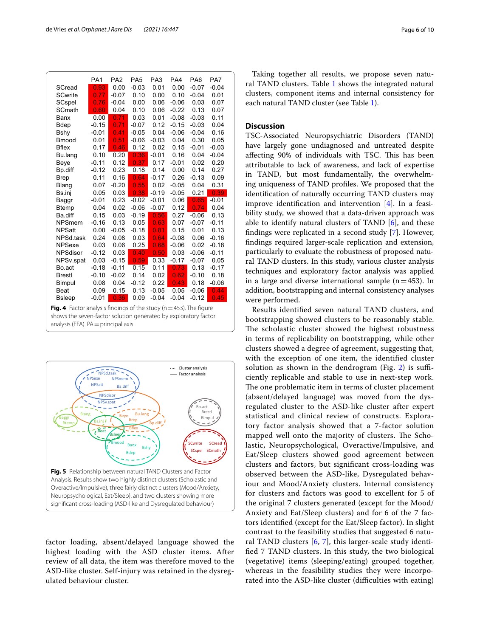|                                                                        | PA <sub>1</sub> | PA <sub>2</sub>   | PA <sub>5</sub>   | PA <sub>3</sub>   | PA4     | PA <sub>6</sub> | PA7     |  |  |
|------------------------------------------------------------------------|-----------------|-------------------|-------------------|-------------------|---------|-----------------|---------|--|--|
| SCread                                                                 | 0.93            | 0.00              | $-0.03$           | 0.01              | 0.00    | $-0.07$         | $-0.04$ |  |  |
| <b>SCwrite</b>                                                         | 0.77            | $-0.07$           | 0.10              | 0.00              | 0.10    | $-0.04$         | 0.01    |  |  |
| SCspel                                                                 | 0.76            | $-0.04$           | 0.00              | 0.06              | $-0.06$ | 0.03            | 0.07    |  |  |
| SCmath                                                                 | 0.60            | 0.04              | 0.10              | 0.06              | $-0.22$ | 0.13            | 0.07    |  |  |
| Banx                                                                   | 0.00            | 0.71              | 0.03              | 0.01              | $-0.08$ | $-0.03$         | 0.11    |  |  |
| <b>Bdep</b>                                                            | $-0.15$         | 0.71              | $-0.07$           | 0.12              | $-0.15$ | $-0.03$         | 0.04    |  |  |
| Bshy                                                                   | $-0.01$         | 0.41              | $-0.05$           | 0.04              | $-0.06$ | $-0.04$         | 0.16    |  |  |
| <b>Bmood</b>                                                           | 0.01            | 0.51              | $-0.06$           | $-0.03$           | 0.04    | 0.30            | 0.05    |  |  |
| <b>Bflex</b>                                                           | 0.17            | 0.46              | 0.12              | 0.02              | 0.15    | $-0.01$         | $-0.03$ |  |  |
| Bu.lang                                                                | 0.10            | 0.20              | 0.36              | $-0.01$           | 0.16    | 0.04            | $-0.04$ |  |  |
| Beye                                                                   | $-0.11$         | 0.12              | 0.37 <sub>1</sub> | 0.17              | $-0.01$ | 0.02            | 0.20    |  |  |
| Bp.diff                                                                | $-0.12$         | 0.23              | 0.18              | 0.14              | 0.00    | 0.14            | 0.27    |  |  |
| <b>Brep</b>                                                            | 0.11            | 0.16              | 0.64              | $-0.17$           | 0.26    | $-0.13$         | 0.09    |  |  |
| Blang                                                                  | 0.07            | $-0.20$           | 0.55              | 0.02              | $-0.05$ | 0.04            | 0.31    |  |  |
| Bs.inj                                                                 | 0.05            | 0.03              | 0.38              | $-0.19$           | $-0.05$ | 0.21            | 0.39    |  |  |
| Baggr                                                                  | $-0.01$         | 0.23              | $-0.02$           | $-0.01$           | 0.06    | 0.65            | $-0.01$ |  |  |
| <b>Btemp</b>                                                           | 0.04            | 0.02              | $-0.06$           | $-0.07$           | 0.12    | 0.74            | 0.04    |  |  |
| Ba.diff                                                                | 0.15            | 0.03              | $-0.19$           | 0.56              | 0.27    | $-0.06$         | 0.13    |  |  |
| <b>NPSmem</b>                                                          | $-0.16$         | 0.13              | 0.05              | 0.63              | 0.07    | $-0.07$         | $-0.11$ |  |  |
| <b>NPSatt</b>                                                          | 0.00            | $-0.05$           | $-0.18$           | 0.81              | 0.15    | 0.01            | 0.13    |  |  |
| NPSd.task                                                              | 0.24            | 0.08              | 0.03              | 0.64              | $-0.08$ | 0.06            | $-0.16$ |  |  |
| <b>NPSexe</b>                                                          | 0.03            | 0.06              | 0.25              | 0.68              | $-0.06$ | 0.02            | $-0.18$ |  |  |
| <b>NPSdisor</b>                                                        | $-0.12$         | 0.03              | 0.40 <sub>1</sub> | 0.50 <sub>1</sub> | 0.03    | $-0.06$         | $-0.11$ |  |  |
| NPSv.spat                                                              | 0.03            | $-0.15$           | 0.59              | 0.33              | $-0.17$ | $-0.07$         | 0.05    |  |  |
| Bo.act                                                                 | $-0.18$         | $-0.11$           | 0.15              | 0.11              | 0.73    | 0.13            | $-0.17$ |  |  |
| <b>Brestl</b>                                                          | $-0.10$         | $-0.02$           | 0.14              | 0.02              | 0.62    | $-0.10$         | 0.18    |  |  |
| Bimpul                                                                 | 0.08            | 0.04              | $-0.12$           | 0.22              | 0.43    | 0.18            | $-0.06$ |  |  |
| <b>Beat</b>                                                            | 0.09            | 0.15              | 0.13              | $-0.05$           | 0.05    | $-0.06$         | 0.44    |  |  |
| <b>B</b> sleep                                                         | $-0.01$         | 0.36 <sub>1</sub> | 0.09              | $-0.04$           | $-0.04$ | $-0.12$         | 0.45    |  |  |
| Fig. 4 Factor analysis findings of the study ( $n = 453$ ). The figure |                 |                   |                   |                   |         |                 |         |  |  |

<span id="page-5-0"></span>**Fig. 4** Factor analysis fndings of the study (n=453). The fgure shows the seven-factor solution generated by exploratory factor analysis (EFA). PA = principal axis



<span id="page-5-1"></span>factor loading, absent/delayed language showed the highest loading with the ASD cluster items. After review of all data, the item was therefore moved to the ASD-like cluster. Self-injury was retained in the dysregulated behaviour cluster.

Taking together all results, we propose seven natural TAND clusters. Table [1](#page-6-0) shows the integrated natural clusters, component items and internal consistency for each natural TAND cluster (see Table [1\)](#page-6-0).

#### **Discussion**

TSC-Associated Neuropsychiatric Disorders (TAND) have largely gone undiagnosed and untreated despite affecting 90% of individuals with TSC. This has been attributable to lack of awareness, and lack of expertise in TAND, but most fundamentally, the overwhelming uniqueness of TAND profles. We proposed that the identifcation of naturally occurring TAND clusters may improve identifcation and intervention [[4\]](#page-8-3). In a feasibility study, we showed that a data-driven approach was able to identify natural clusters of TAND  $[6]$  $[6]$ , and these fndings were replicated in a second study [[7](#page-8-6)]. However, fndings required larger-scale replication and extension, particularly to evaluate the robustness of proposed natural TAND clusters. In this study, various cluster analysis techniques and exploratory factor analysis was applied in a large and diverse international sample ( $n=453$ ). In addition, bootstrapping and internal consistency analyses were performed.

Results identifed seven natural TAND clusters, and bootstrapping showed clusters to be reasonably stable. The scholastic cluster showed the highest robustness in terms of replicability on bootstrapping, while other clusters showed a degree of agreement, suggesting that, with the exception of one item, the identifed cluster solution as shown in the dendrogram (Fig.  $2$ ) is sufficiently replicable and stable to use in next-step work. The one problematic item in terms of cluster placement (absent/delayed language) was moved from the dysregulated cluster to the ASD-like cluster after expert statistical and clinical review of constructs. Exploratory factor analysis showed that a 7-factor solution mapped well onto the majority of clusters. The Scholastic, Neuropsychological, Overactive/Impulsive, and Eat/Sleep clusters showed good agreement between clusters and factors, but signifcant cross-loading was observed between the ASD-like, Dysregulated behaviour and Mood/Anxiety clusters. Internal consistency for clusters and factors was good to excellent for 5 of the original 7 clusters generated (except for the Mood/ Anxiety and Eat/Sleep clusters) and for 6 of the 7 factors identifed (except for the Eat/Sleep factor). In slight contrast to the feasibility studies that suggested 6 natural TAND clusters  $[6, 7]$  $[6, 7]$  $[6, 7]$  $[6, 7]$ , this larger-scale study identifed 7 TAND clusters. In this study, the two biological (vegetative) items (sleeping/eating) grouped together, whereas in the feasibility studies they were incorporated into the ASD-like cluster (difficulties with eating)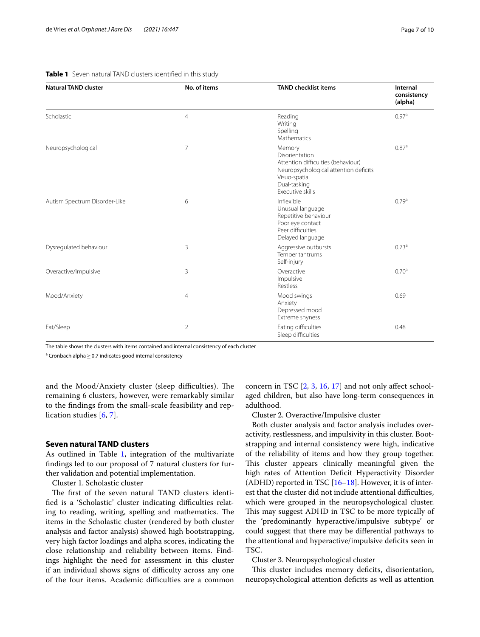| <b>Natural TAND cluster</b>   | No. of items   | <b>TAND checklist items</b>                                                                                                                                  | Internal<br>consistency<br>(alpha) |
|-------------------------------|----------------|--------------------------------------------------------------------------------------------------------------------------------------------------------------|------------------------------------|
| Scholastic                    | $\overline{4}$ | Reading<br>Writing<br>Spelling<br>Mathematics                                                                                                                | 0.97 <sup>a</sup>                  |
| Neuropsychological            | $\overline{7}$ | Memory<br>Disorientation<br>Attention difficulties (behaviour)<br>Neuropsychological attention deficits<br>Visuo-spatial<br>Dual-tasking<br>Executive skills | 0.87 <sup>a</sup>                  |
| Autism Spectrum Disorder-Like | 6              | Inflexible<br>Unusual language<br>Repetitive behaviour<br>Poor eye contact<br>Peer difficulties<br>Delayed language                                          | 0.79 <sup>a</sup>                  |
| Dysregulated behaviour        | 3              | Aggressive outbursts<br>Temper tantrums<br>Self-injury                                                                                                       | 0.73 <sup>a</sup>                  |
| Overactive/Impulsive          | 3              | Overactive<br>Impulsive<br><b>Restless</b>                                                                                                                   | 0.70 <sup>a</sup>                  |
| Mood/Anxiety                  | $\overline{4}$ | Mood swings<br>Anxiety<br>Depressed mood<br>Extreme shyness                                                                                                  | 0.69                               |
| Eat/Sleep                     | $\overline{2}$ | Eating difficulties<br>Sleep difficulties                                                                                                                    | 0.48                               |

#### <span id="page-6-0"></span>**Table 1** Seven natural TAND clusters identifed in this study

The table shows the clusters with items contained and internal consistency of each cluster

 $^{\rm a}$  Cronbach alpha $\geq$  0.7 indicates good internal consistency

and the Mood/Anxiety cluster (sleep difficulties). The remaining 6 clusters, however, were remarkably similar to the fndings from the small-scale feasibility and replication studies [[6](#page-8-5), [7\]](#page-8-6).

#### **Seven natural TAND clusters**

As outlined in Table [1,](#page-6-0) integration of the multivariate fndings led to our proposal of 7 natural clusters for further validation and potential implementation.

Cluster 1. Scholastic cluster

The first of the seven natural TAND clusters identified is a 'Scholastic' cluster indicating difficulties relating to reading, writing, spelling and mathematics. The items in the Scholastic cluster (rendered by both cluster analysis and factor analysis) showed high bootstrapping, very high factor loadings and alpha scores, indicating the close relationship and reliability between items. Findings highlight the need for assessment in this cluster if an individual shows signs of difficulty across any one of the four items. Academic difficulties are a common

concern in TSC [\[2](#page-8-1), [3](#page-8-2), [16](#page-9-5), [17](#page-9-6)] and not only afect schoolaged children, but also have long-term consequences in adulthood.

Cluster 2. Overactive/Impulsive cluster

Both cluster analysis and factor analysis includes overactivity, restlessness, and impulsivity in this cluster. Bootstrapping and internal consistency were high, indicative of the reliability of items and how they group together. This cluster appears clinically meaningful given the high rates of Attention Deficit Hyperactivity Disorder (ADHD) reported in TSC  $[16–18]$  $[16–18]$  $[16–18]$  $[16–18]$ . However, it is of interest that the cluster did not include attentional difficulties, which were grouped in the neuropsychological cluster. This may suggest ADHD in TSC to be more typically of the 'predominantly hyperactive/impulsive subtype' or could suggest that there may be diferential pathways to the attentional and hyperactive/impulsive defcits seen in TSC.

#### Cluster 3. Neuropsychological cluster

This cluster includes memory deficits, disorientation, neuropsychological attention defcits as well as attention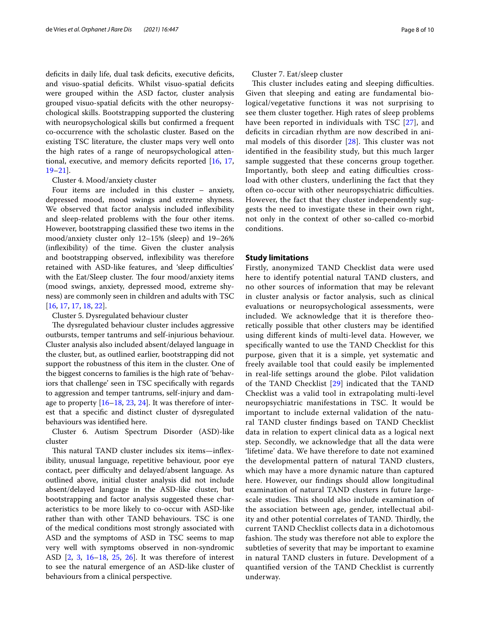deficits in daily life, dual task deficits, executive deficits, and visuo-spatial deficits. Whilst visuo-spatial deficits were grouped within the ASD factor, cluster analysis grouped visuo-spatial defcits with the other neuropsychological skills. Bootstrapping supported the clustering with neuropsychological skills but confrmed a frequent co-occurrence with the scholastic cluster. Based on the existing TSC literature, the cluster maps very well onto the high rates of a range of neuropsychological attentional, executive, and memory deficits reported  $[16, 17, 17]$  $[16, 17, 17]$  $[16, 17, 17]$  $[16, 17, 17]$  $[16, 17, 17]$ [19–](#page-9-8)[21](#page-9-9)].

#### Cluster 4. Mood/anxiety cluster

Four items are included in this cluster – anxiety, depressed mood, mood swings and extreme shyness. We observed that factor analysis included infexibility and sleep-related problems with the four other items. However, bootstrapping classifed these two items in the mood/anxiety cluster only 12–15% (sleep) and 19–26% (infexibility) of the time. Given the cluster analysis and bootstrapping observed, infexibility was therefore retained with ASD-like features, and 'sleep difficulties' with the Eat/Sleep cluster. The four mood/anxiety items (mood swings, anxiety, depressed mood, extreme shyness) are commonly seen in children and adults with TSC [[16,](#page-9-5) [17](#page-9-6), [17](#page-9-6), [18,](#page-9-7) [22](#page-9-10)].

#### Cluster 5. Dysregulated behaviour cluster

The dysregulated behaviour cluster includes aggressive outbursts, temper tantrums and self-injurious behaviour. Cluster analysis also included absent/delayed language in the cluster, but, as outlined earlier, bootstrapping did not support the robustness of this item in the cluster. One of the biggest concerns to families is the high rate of 'behaviors that challenge' seen in TSC specifcally with regards to aggression and temper tantrums, self-injury and damage to property  $[16–18, 23, 24]$  $[16–18, 23, 24]$  $[16–18, 23, 24]$  $[16–18, 23, 24]$  $[16–18, 23, 24]$  $[16–18, 23, 24]$  $[16–18, 23, 24]$  $[16–18, 23, 24]$ . It was therefore of interest that a specifc and distinct cluster of dysregulated behaviours was identifed here.

Cluster 6. Autism Spectrum Disorder (ASD)-like cluster

This natural TAND cluster includes six items—inflexibility, unusual language, repetitive behaviour, poor eye contact, peer difficulty and delayed/absent language. As outlined above, initial cluster analysis did not include absent/delayed language in the ASD-like cluster, but bootstrapping and factor analysis suggested these characteristics to be more likely to co-occur with ASD-like rather than with other TAND behaviours. TSC is one of the medical conditions most strongly associated with ASD and the symptoms of ASD in TSC seems to map very well with symptoms observed in non-syndromic ASD [[2](#page-8-1), [3](#page-8-2), [16](#page-9-5)[–18](#page-9-7), [25,](#page-9-13) [26](#page-9-14)]. It was therefore of interest to see the natural emergence of an ASD-like cluster of behaviours from a clinical perspective.

Cluster 7. Eat/sleep cluster

This cluster includes eating and sleeping difficulties. Given that sleeping and eating are fundamental biological/vegetative functions it was not surprising to see them cluster together. High rates of sleep problems have been reported in individuals with TSC [\[27\]](#page-9-15), and deficits in circadian rhythm are now described in animal models of this disorder  $[28]$  $[28]$ . This cluster was not identifed in the feasibility study, but this much larger sample suggested that these concerns group together. Importantly, both sleep and eating difficulties crossload with other clusters, underlining the fact that they often co-occur with other neuropsychiatric difficulties. However, the fact that they cluster independently suggests the need to investigate these in their own right, not only in the context of other so-called co-morbid conditions.

#### **Study limitations**

Firstly, anonymized TAND Checklist data were used here to identify potential natural TAND clusters, and no other sources of information that may be relevant in cluster analysis or factor analysis, such as clinical evaluations or neuropsychological assessments, were included. We acknowledge that it is therefore theoretically possible that other clusters may be identifed using diferent kinds of multi-level data. However, we specifcally wanted to use the TAND Checklist for this purpose, given that it is a simple, yet systematic and freely available tool that could easily be implemented in real-life settings around the globe. Pilot validation of the TAND Checklist [[29\]](#page-9-17) indicated that the TAND Checklist was a valid tool in extrapolating multi-level neuropsychiatric manifestations in TSC. It would be important to include external validation of the natural TAND cluster fndings based on TAND Checklist data in relation to expert clinical data as a logical next step. Secondly, we acknowledge that all the data were 'lifetime' data. We have therefore to date not examined the developmental pattern of natural TAND clusters, which may have a more dynamic nature than captured here. However, our fndings should allow longitudinal examination of natural TAND clusters in future largescale studies. This should also include examination of the association between age, gender, intellectual ability and other potential correlates of TAND. Thirdly, the current TAND Checklist collects data in a dichotomous fashion. The study was therefore not able to explore the subtleties of severity that may be important to examine in natural TAND clusters in future. Development of a quantifed version of the TAND Checklist is currently underway.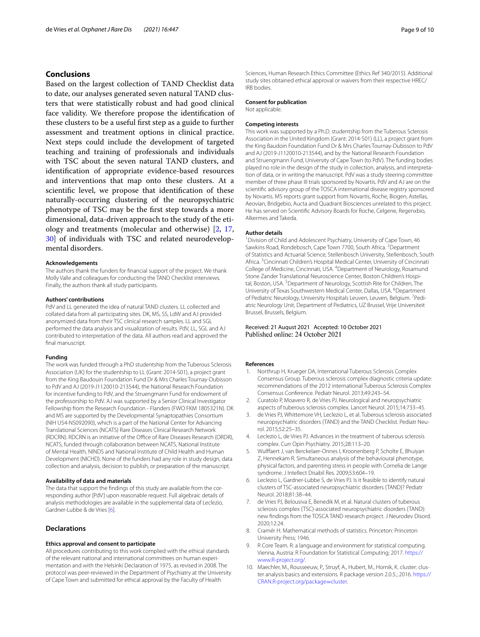#### **Conclusions**

Based on the largest collection of TAND Checklist data to date, our analyses generated seven natural TAND clusters that were statistically robust and had good clinical face validity. We therefore propose the identifcation of these clusters to be a useful frst step as a guide to further assessment and treatment options in clinical practice. Next steps could include the development of targeted teaching and training of professionals and individuals with TSC about the seven natural TAND clusters, and identifcation of appropriate evidence-based resources and interventions that map onto these clusters. At a scientifc level, we propose that identifcation of these naturally-occurring clustering of the neuropsychiatric phenotype of TSC may be the frst step towards a more dimensional, data-driven approach to the study of the etiology and treatments (molecular and otherwise) [[2](#page-8-1), [17](#page-9-6), [30\]](#page-9-18) of individuals with TSC and related neurodevelopmental disorders.

#### **Acknowledgements**

The authors thank the funders for fnancial support of the project. We thank Molly Valle and colleagues for conducting the TAND Checklist interviews. Finally, the authors thank all study participants.

#### **Authors' contributions**

PdV and LL generated the idea of natural TAND clusters. LL collected and collated data from all participating sites. DK, MS, SS, LdW and AJ provided anonymized data from their TSC clinical research samples. LL and SGL performed the data analysis and visualization of results. PdV, LL, SGL and AJ contributed to interpretation of the data. All authors read and approved the final manuscript.

#### **Funding**

The work was funded through a PhD studentship from the Tuberous Sclerosis Association (UK) for the studentship to LL (Grant: 2014-S01), a project grant from the King Baudouin Foundation Fund Dr & Mrs Charles Tournay-Dubisson to PdV and AJ (2019-J1120010-213544), the National Research Foundation for incentive funding to PdV, and the Struengmann Fund for endowment of the professorship to PdV. AJ was supported by a Senior Clinical Investigator Fellowship from the Research Foundation - Flanders (FWO FKM 1805321N). DK and MS are supported by the Developmental Synaptopathies Consortium (NIH U54-NS092090), which is a part of the National Center for Advancing Translational Sciences (NCATS) Rare Diseases Clinical Research Network (RDCRN). RDCRN is an initiative of the Office of Rare Diseases Research (ORDR), NCATS, funded through collaboration between NCATS, National Institute of Mental Health, NINDS and National Institute of Child Health and Human Development (NICHD). None of the funders had any role in study design, data collection and analysis, decision to publish, or preparation of the manuscript.

#### **Availability of data and materials**

The data that support the findings of this study are available from the corresponding author [PdV] upon reasonable request. Full algebraic details of analysis methodologies are available in the supplemental data of Leclezio, Gardner-Lubbe & de Vries [\[6](#page-8-5)].

#### **Declarations**

#### **Ethics approval and consent to participate**

All procedures contributing to this work complied with the ethical standards of the relevant national and international committees on human experimentation and with the Helsinki Declaration of 1975, as revised in 2008. The protocol was peer-reviewed in the Department of Psychiatry at the University of Cape Town and submitted for ethical approval by the Faculty of Health

Sciences, Human Research Ethics Committee (Ethics Ref 340/2015). Additional study sites obtained ethical approval or waivers from their respective HREC/ IRB bodies.

#### **Consent for publication**

Not applicable.

#### **Competing interests**

This work was supported by a Ph.D. studentship from the Tuberous Sclerosis Association in the United Kingdom (Grant: 2014-S01) (LL), a project grant from the King Baudoin Foundation Fund Dr & Mrs Charles Tournay-Dubisson to PdV and AJ (2019-J1120010-213544), and by the National Research Foundation and Struengmann Fund, University of Cape Town (to PdV). The funding bodies played no role in the design of the study in collection, analysis, and interpretation of data, or in writing the manuscript. PdV was a study steering committee member of three phase III trials sponsored by Novartis. PdV and AJ are on the scientifc advisory group of the TOSCA international disease registry sponsored by Novartis. MS reports grant support from Novartis, Roche, Biogen, Astellas, Aeovian, Bridgebio, Aucta and Quadrant Biosciences unrelated to this project. He has served on Scientifc Advisory Boards for Roche, Celgene, Regenxbio, Alkermes and Takeda.

#### **Author details**

<sup>1</sup> Division of Child and Adolescent Psychiatry, University of Cape Town, 46 Sawkins Road, Rondebosch, Cape Town 7700, South Africa. <sup>2</sup> Department of Statistics and Actuarial Science, Stellenbosch University, Stellenbosch, South Africa.<sup>3</sup> Cincinnati Children's Hospital Medical Center, University of Cincinnati College of Medicine, Cincinnati, USA. <sup>4</sup>Department of Neurology, Rosamund Stone Zander Translational Neuroscience Center, Boston Children's Hospital, Boston, USA.<sup>5</sup> Department of Neurology, Scottish Rite for Children, The University of Texas Southwestern Medical Center, Dallas, USA. <sup>6</sup>Department of Pediatric Neurology, University Hospitals Leuven, Leuven, Belgium. <sup>7</sup>Pediatric Neurology Unit, Department of Pediatrics, UZ Brussel, Vrije Universiteit Brussel, Brussels, Belgium.

### Received: 21 August 2021 Accepted: 10 October 2021

#### **References**

- <span id="page-8-0"></span>1. Northrup H, Krueger DA, International Tuberous Sclerosis Complex Consensus Group. Tuberous sclerosis complex diagnostic criteria update: recommendations of the 2012 international Tuberous Sclerosis Complex Consensus Conference. Pediatr Neurol. 2013;49:243–54.
- <span id="page-8-1"></span>2. Curatolo P, Moavero R, de Vries PJ. Neurological and neuropsychiatric aspects of tuberous sclerosis complex. Lancet Neurol. 2015;14:733–45.
- <span id="page-8-2"></span>3. de Vries PJ, Whittemore VH, Leclezio L, et al. Tuberous sclerosis associated neuropsychiatric disorders (TAND) and the TAND Checklist. Pediatr Neu‑ rol. 2015;52:25–35.
- <span id="page-8-3"></span>Leclezio L, de Vries PJ. Advances in the treatment of tuberous sclerosis complex. Curr Opin Psychiatry. 2015;28:113–20.
- <span id="page-8-4"></span>5. Wulfaert J, van Berckelaer-Onnes I, Kroonenberg P, Scholte E, Bhuiyan Z, Hennekam R. Simultaneous analysis of the behavioural phenotype, physical factors, and parenting stress in people with Cornelia de Lange syndrome. J Intellect Disabil Res. 2009;53:604–19.
- <span id="page-8-5"></span>6. Leclezio L, Gardner-Lubbe S, de Vries PJ. Is it feasible to identify natural clusters of TSC-associated neuropsychiatric disorders (TAND)? Pediatr Neurol. 2018;81:38–44.
- <span id="page-8-6"></span>7. de Vries PJ, Belousiva E, Benedik M, et al. Natural clusters of tuberous sclerosis complex (TSC)-associated neuropsychiatric disorders (TAND): new fndings from the TOSCA TAND research project. J Neurodev Disord. 2020;12:24.
- <span id="page-8-7"></span>8. Cramér H. Mathematical methods of statistics. Princeton: Princeton University Press; 1946.
- <span id="page-8-8"></span>R Core Team. R: a language and environment for statistical computing. Vienna, Austria: R Foundation for Statistical Computing; 2017. [https://](https://www.R-project.org/) [www.R-project.org/.](https://www.R-project.org/)
- <span id="page-8-9"></span>10. Maechler, M., Rousseeuw, P., Struyf, A., Hubert, M., Hornik, K. cluster: cluster analysis basics and extensions. R package version 2.0.5.; 2016. [https://](https://CRAN.R-project.org/package=cluster) [CRAN.R-project.org/package](https://CRAN.R-project.org/package=cluster)=cluster.